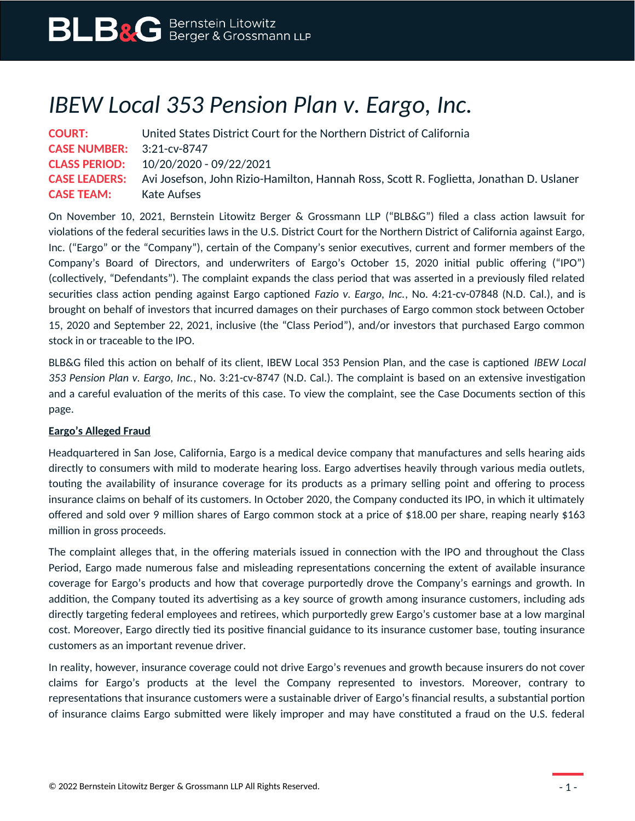## *IBEW Local 353 Pension Plan v. Eargo, Inc.*

| <b>COURT:</b>                    | United States District Court for the Northern District of California                                         |
|----------------------------------|--------------------------------------------------------------------------------------------------------------|
| <b>CASE NUMBER:</b> 3:21-cv-8747 |                                                                                                              |
|                                  | <b>CLASS PERIOD:</b> $10/20/2020 - 09/22/2021$                                                               |
|                                  | <b>CASE LEADERS:</b> Avi Josefson, John Rizio-Hamilton, Hannah Ross, Scott R. Foglietta, Jonathan D. Uslaner |
| <b>CASE TEAM:</b>                | Kate Aufses                                                                                                  |

On November 10, 2021, Bernstein Litowitz Berger & Grossmann LLP ("BLB&G") filed a class action lawsuit for violations of the federal securities laws in the U.S. District Court for the Northern District of California against Eargo, Inc. ("Eargo" or the "Company"), certain of the Company's senior executives, current and former members of the Company's Board of Directors, and underwriters of Eargo's October 15, 2020 initial public offering ("IPO") (collectively, "Defendants"). The complaint expands the class period that was asserted in a previously filed related securities class action pending against Eargo captioned *Fazio v. Eargo, Inc.*, No. 4:21-cv-07848 (N.D. Cal.), and is brought on behalf of investors that incurred damages on their purchases of Eargo common stock between October 15, 2020 and September 22, 2021, inclusive (the "Class Period"), and/or investors that purchased Eargo common stock in or traceable to the IPO.

BLB&G filed this action on behalf of its client, IBEW Local 353 Pension Plan, and the case is captioned *IBEW Local 353 Pension Plan v. Eargo, Inc.*, No. 3:21-cv-8747 (N.D. Cal.). The complaint is based on an extensive investigation and a careful evaluation of the merits of this case. To view the complaint, see the Case Documents section of this page.

## **Eargo's Alleged Fraud**

Headquartered in San Jose, California, Eargo is a medical device company that manufactures and sells hearing aids directly to consumers with mild to moderate hearing loss. Eargo advertises heavily through various media outlets, touting the availability of insurance coverage for its products as a primary selling point and offering to process insurance claims on behalf of its customers. In October 2020, the Company conducted its IPO, in which it ultimately offered and sold over 9 million shares of Eargo common stock at a price of \$18.00 per share, reaping nearly \$163 million in gross proceeds.

The complaint alleges that, in the offering materials issued in connection with the IPO and throughout the Class Period, Eargo made numerous false and misleading representations concerning the extent of available insurance coverage for Eargo's products and how that coverage purportedly drove the Company's earnings and growth. In addition, the Company touted its advertising as a key source of growth among insurance customers, including ads directly targeting federal employees and retirees, which purportedly grew Eargo's customer base at a low marginal cost. Moreover, Eargo directly tied its positive financial guidance to its insurance customer base, touting insurance customers as an important revenue driver.

In reality, however, insurance coverage could not drive Eargo's revenues and growth because insurers do not cover claims for Eargo's products at the level the Company represented to investors. Moreover, contrary to representations that insurance customers were a sustainable driver of Eargo's financial results, a substantial portion of insurance claims Eargo submitted were likely improper and may have constituted a fraud on the U.S. federal